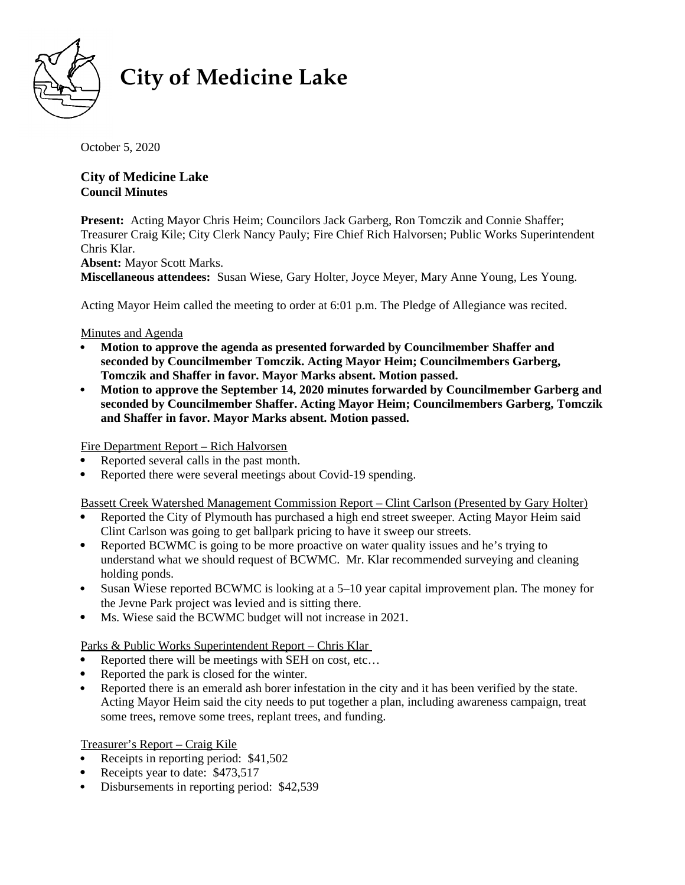

# **City of Medicine Lake**

October 5, 2020

**City of Medicine Lake Council Minutes**   $10609$  South Shore  $\frac{1}{2}$   $\frac{1}{2}$   $\frac{1}{2}$   $\frac{1}{2}$   $\frac{1}{2}$   $\frac{1}{2}$   $\frac{1}{2}$   $\frac{1}{2}$   $\frac{1}{2}$   $\frac{1}{2}$   $\frac{1}{2}$   $\frac{1}{2}$   $\frac{1}{2}$   $\frac{1}{2}$   $\frac{1}{2}$   $\frac{1}{2}$   $\frac{1}{2}$   $\frac{1}{2}$   $\frac{1}{2}$   $\frac{1}{2}$ 

**Present:** Acting Mayor Chris Heim; Councilors Jack Garberg, Ron Tomczik and Connie Shaffer; Treasurer Craig Kile; City Clerk Nancy Pauly; Fire Chief Rich Halvorsen; Public Works Superintendent Chris Klar.

**Absent:** Mayor Scott Marks. **Miscellaneous attendees:** Susan Wiese, Gary Holter, Joyce Meyer, Mary Anne Young, Les Young.

Acting Mayor Heim called the meeting to order at 6:01 p.m. The Pledge of Allegiance was recited.

Minutes and Agenda

- **Motion to approve the agenda as presented forwarded by Councilmember Shaffer and seconded by Councilmember Tomczik. Acting Mayor Heim; Councilmembers Garberg, Tomczik and Shaffer in favor. Mayor Marks absent. Motion passed.**
- **Motion to approve the September 14, 2020 minutes forwarded by Councilmember Garberg and seconded by Councilmember Shaffer. Acting Mayor Heim; Councilmembers Garberg, Tomczik and Shaffer in favor. Mayor Marks absent. Motion passed.**

Fire Department Report – Rich Halvorsen

- Reported several calls in the past month.
- Reported there were several meetings about Covid-19 spending.

Bassett Creek Watershed Management Commission Report – Clint Carlson (Presented by Gary Holter)

- Reported the City of Plymouth has purchased a high end street sweeper. Acting Mayor Heim said Clint Carlson was going to get ballpark pricing to have it sweep our streets.
- Reported BCWMC is going to be more proactive on water quality issues and he's trying to understand what we should request of BCWMC. Mr. Klar recommended surveying and cleaning holding ponds.
- Susan Wiese reported BCWMC is looking at a 5–10 year capital improvement plan. The money for the Jevne Park project was levied and is sitting there.
- Ms. Wiese said the BCWMC budget will not increase in 2021.

Parks & Public Works Superintendent Report – Chris Klar

- Reported there will be meetings with SEH on cost, etc…
- Reported the park is closed for the winter.
- Reported there is an emerald ash borer infestation in the city and it has been verified by the state. Acting Mayor Heim said the city needs to put together a plan, including awareness campaign, treat some trees, remove some trees, replant trees, and funding.

Treasurer's Report – Craig Kile

- Receipts in reporting period: \$41,502
- Receipts year to date: \$473,517
- Disbursements in reporting period: \$42,539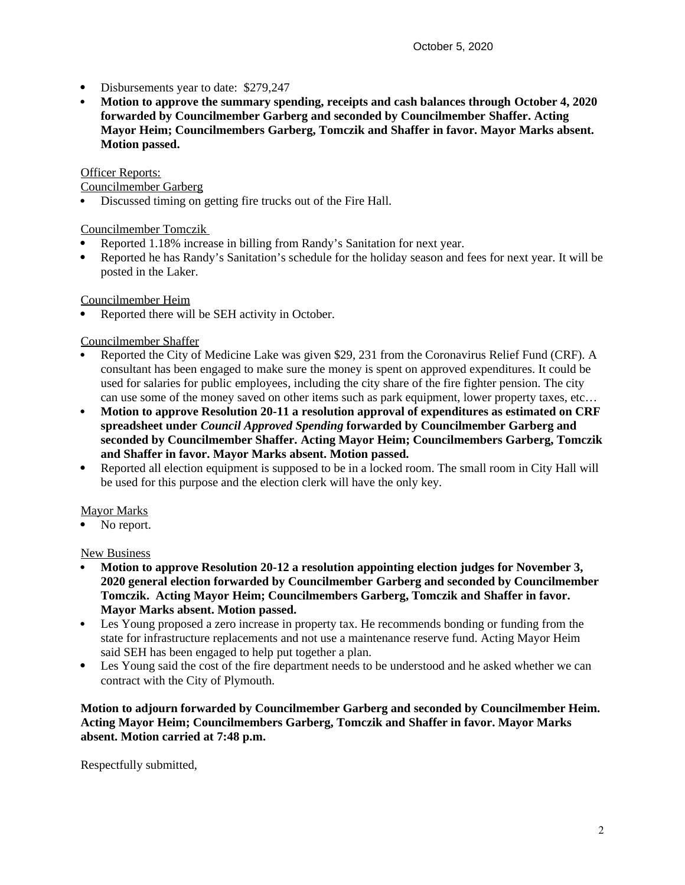- Disbursements year to date: \$279,247
- **Motion to approve the summary spending, receipts and cash balances through October 4, 2020 forwarded by Councilmember Garberg and seconded by Councilmember Shaffer. Acting Mayor Heim; Councilmembers Garberg, Tomczik and Shaffer in favor. Mayor Marks absent. Motion passed.**

#### Officer Reports:

Councilmember Garberg

Discussed timing on getting fire trucks out of the Fire Hall.

#### Councilmember Tomczik

- Reported 1.18% increase in billing from Randy's Sanitation for next year.
- Reported he has Randy's Sanitation's schedule for the holiday season and fees for next year. It will be posted in the Laker.

Councilmember Heim

Reported there will be SEH activity in October.

## Councilmember Shaffer

- Reported the City of Medicine Lake was given \$29, 231 from the Coronavirus Relief Fund (CRF). A consultant has been engaged to make sure the money is spent on approved expenditures. It could be used for salaries for public employees, including the city share of the fire fighter pension. The city can use some of the money saved on other items such as park equipment, lower property taxes, etc…
- **Motion to approve Resolution 20-11 a resolution approval of expenditures as estimated on CRF spreadsheet under** *Council Approved Spending* **forwarded by Councilmember Garberg and seconded by Councilmember Shaffer. Acting Mayor Heim; Councilmembers Garberg, Tomczik and Shaffer in favor. Mayor Marks absent. Motion passed.**
- Reported all election equipment is supposed to be in a locked room. The small room in City Hall will be used for this purpose and the election clerk will have the only key.

# Mayor Marks

No report.

## New Business

- **Motion to approve Resolution 20-12 a resolution appointing election judges for November 3, 2020 general election forwarded by Councilmember Garberg and seconded by Councilmember Tomczik. Acting Mayor Heim; Councilmembers Garberg, Tomczik and Shaffer in favor. Mayor Marks absent. Motion passed.**
- Les Young proposed a zero increase in property tax. He recommends bonding or funding from the state for infrastructure replacements and not use a maintenance reserve fund. Acting Mayor Heim said SEH has been engaged to help put together a plan.
- Les Young said the cost of the fire department needs to be understood and he asked whether we can contract with the City of Plymouth.

**Motion to adjourn forwarded by Councilmember Garberg and seconded by Councilmember Heim. Acting Mayor Heim; Councilmembers Garberg, Tomczik and Shaffer in favor. Mayor Marks absent. Motion carried at 7:48 p.m.**

Respectfully submitted,